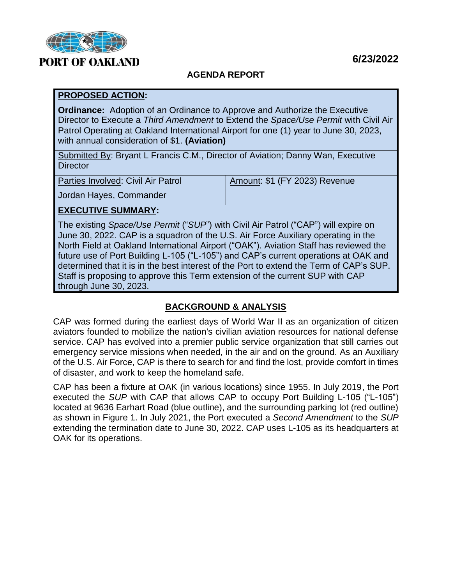

# **PORT OF OAKLAND**

# **AGENDA REPORT**

### **PROPOSED ACTION:**

**Ordinance:** Adoption of an Ordinance to Approve and Authorize the Executive Director to Execute a *Third Amendment* to Extend the *Space/Use Permit* with Civil Air Patrol Operating at Oakland International Airport for one (1) year to June 30, 2023, with annual consideration of \$1. **(Aviation)**

Submitted By: Bryant L Francis C.M., Director of Aviation; Danny Wan, Executive **Director** 

Parties Involved: Civil Air Patrol

Amount: \$1 (FY 2023) Revenue

Jordan Hayes, Commander

# **EXECUTIVE SUMMARY:**

The existing *Space/Use Permit* ("*SUP*") with Civil Air Patrol ("CAP") will expire on June 30, 2022. CAP is a squadron of the U.S. Air Force Auxiliary operating in the North Field at Oakland International Airport ("OAK"). Aviation Staff has reviewed the future use of Port Building L-105 ("L-105") and CAP's current operations at OAK and determined that it is in the best interest of the Port to extend the Term of CAP's SUP. Staff is proposing to approve this Term extension of the current SUP with CAP through June 30, 2023.

# **BACKGROUND & ANALYSIS**

CAP was formed during the earliest days of World War II as an organization of citizen aviators founded to mobilize the nation's civilian aviation resources for national defense service. CAP has evolved into a premier public service organization that still carries out emergency service missions when needed, in the air and on the ground. As an Auxiliary of the U.S. Air Force, CAP is there to search for and find the lost, provide comfort in times of disaster, and work to keep the homeland safe.

CAP has been a fixture at OAK (in various locations) since 1955. In July 2019, the Port executed the *SUP* with CAP that allows CAP to occupy Port Building L-105 ("L-105") located at 9636 Earhart Road (blue outline), and the surrounding parking lot (red outline) as shown in Figure 1. In July 2021, the Port executed a *Second Amendment* to the *SUP* extending the termination date to June 30, 2022. CAP uses L-105 as its headquarters at OAK for its operations.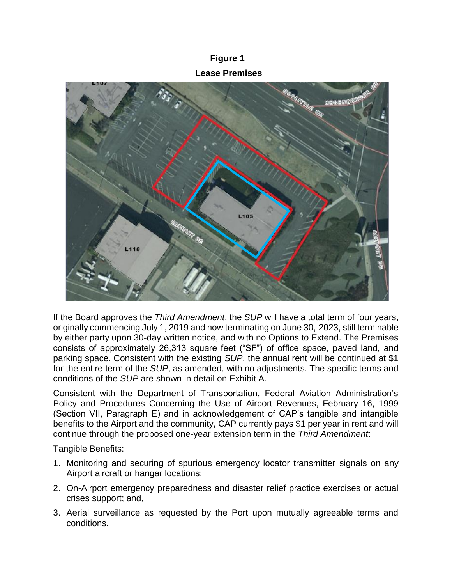# **Figure 1 Lease Premises**



If the Board approves the *Third Amendment*, the *SUP* will have a total term of four years, originally commencing July 1, 2019 and now terminating on June 30, 2023, still terminable by either party upon 30-day written notice, and with no Options to Extend. The Premises consists of approximately 26,313 square feet ("SF") of office space, paved land, and parking space. Consistent with the existing *SUP*, the annual rent will be continued at \$1 for the entire term of the *SUP*, as amended, with no adjustments. The specific terms and conditions of the *SUP* are shown in detail on Exhibit A.

Consistent with the Department of Transportation, Federal Aviation Administration's Policy and Procedures Concerning the Use of Airport Revenues, February 16, 1999 (Section VII, Paragraph E) and in acknowledgement of CAP's tangible and intangible benefits to the Airport and the community, CAP currently pays \$1 per year in rent and will continue through the proposed one-year extension term in the *Third Amendment*:

#### Tangible Benefits:

- 1. Monitoring and securing of spurious emergency locator transmitter signals on any Airport aircraft or hangar locations;
- 2. On-Airport emergency preparedness and disaster relief practice exercises or actual crises support; and,
- 3. Aerial surveillance as requested by the Port upon mutually agreeable terms and conditions.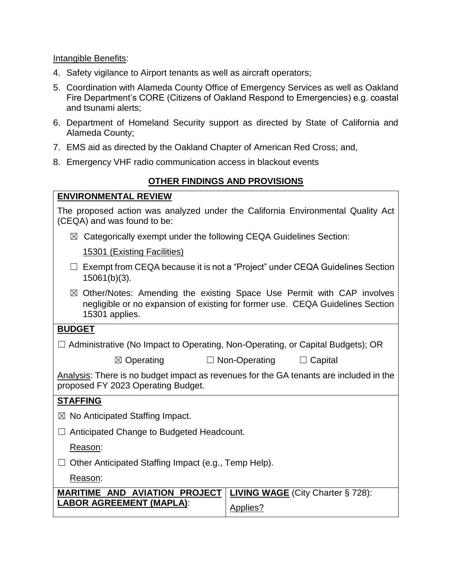Intangible Benefits:

- 4. Safety vigilance to Airport tenants as well as aircraft operators;
- 5. Coordination with Alameda County Office of Emergency Services as well as Oakland Fire Department's CORE (Citizens of Oakland Respond to Emergencies) e.g. coastal and tsunami alerts;
- 6. Department of Homeland Security support as directed by State of California and Alameda County;
- 7. EMS aid as directed by the Oakland Chapter of American Red Cross; and,
- 8. Emergency VHF radio communication access in blackout events

### **OTHER FINDINGS AND PROVISIONS**

The proposed action was analyzed under the California Environmental Quality Act (CEQA) and was found to be:

 $\boxtimes$  Categorically exempt under the following CEQA Guidelines Section:

15301 (Existing Facilities)

- ☐ Exempt from CEQA because it is not a "Project" under CEQA Guidelines Section 15061(b)(3).
- $\boxtimes$  Other/Notes: Amending the existing Space Use Permit with CAP involves negligible or no expansion of existing for former use. CEQA Guidelines Section 15301 applies.

#### **BUDGET**

|  |  | $\Box$ Administrative (No Impact to Operating, Non-Operating, or Capital Budgets); OR |
|--|--|---------------------------------------------------------------------------------------|
|  |  |                                                                                       |
|  |  |                                                                                       |

☒ Operating ☐ Non-Operating ☐ Capital

Analysis: There is no budget impact as revenues for the GA tenants are included in the proposed FY 2023 Operating Budget.

#### **STAFFING**

- $\boxtimes$  No Anticipated Staffing Impact.
- ☐ Anticipated Change to Budgeted Headcount.

Reason:

☐ Other Anticipated Staffing Impact (e.g., Temp Help).

Reason:

| <b>MARITIME AND AVIATION PROJECT   LIVING WAGE (City Charter § 728):</b> |          |
|--------------------------------------------------------------------------|----------|
| <b>LABOR AGREEMENT (MAPLA):</b>                                          | Applies? |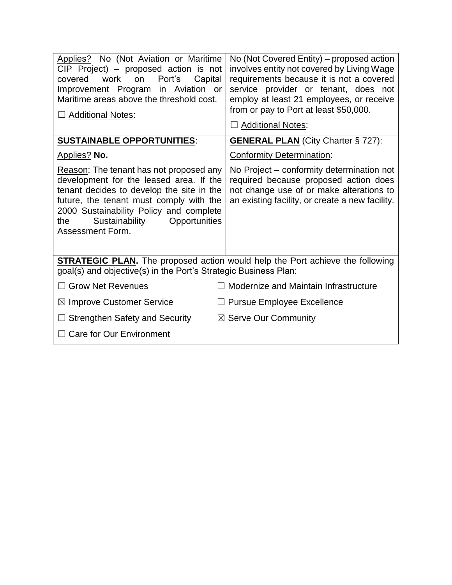| Applies? No (Not Aviation or Maritime<br>$CIP$ Project) – proposed action is not<br>covered work<br>Port's<br>on<br>Capital<br>Improvement Program in Aviation or<br>Maritime areas above the threshold cost.<br>□ Additional Notes:                                                | No (Not Covered Entity) – proposed action<br>involves entity not covered by Living Wage<br>requirements because it is not a covered<br>service provider or tenant, does not<br>employ at least 21 employees, or receive<br>from or pay to Port at least \$50,000.<br>$\Box$ Additional Notes: |  |  |  |
|-------------------------------------------------------------------------------------------------------------------------------------------------------------------------------------------------------------------------------------------------------------------------------------|-----------------------------------------------------------------------------------------------------------------------------------------------------------------------------------------------------------------------------------------------------------------------------------------------|--|--|--|
| <b>SUSTAINABLE OPPORTUNITIES:</b>                                                                                                                                                                                                                                                   | <b>GENERAL PLAN</b> (City Charter § 727):                                                                                                                                                                                                                                                     |  |  |  |
| <b>Applies? No.</b>                                                                                                                                                                                                                                                                 | <b>Conformity Determination:</b>                                                                                                                                                                                                                                                              |  |  |  |
| Reason: The tenant has not proposed any<br>development for the leased area. If the<br>tenant decides to develop the site in the<br>future, the tenant must comply with the<br>2000 Sustainability Policy and complete<br>Sustainability<br>Opportunities<br>the<br>Assessment Form. | No Project – conformity determination not<br>required because proposed action does<br>not change use of or make alterations to<br>an existing facility, or create a new facility.                                                                                                             |  |  |  |
| <b>STRATEGIC PLAN.</b> The proposed action would help the Port achieve the following<br>goal(s) and objective(s) in the Port's Strategic Business Plan:                                                                                                                             |                                                                                                                                                                                                                                                                                               |  |  |  |
| <b>Grow Net Revenues</b>                                                                                                                                                                                                                                                            | Modernize and Maintain Infrastructure                                                                                                                                                                                                                                                         |  |  |  |
| $\boxtimes$ Improve Customer Service                                                                                                                                                                                                                                                | $\Box$ Pursue Employee Excellence                                                                                                                                                                                                                                                             |  |  |  |
| $\Box$ Strengthen Safety and Security                                                                                                                                                                                                                                               | $\boxtimes$ Serve Our Community                                                                                                                                                                                                                                                               |  |  |  |
| $\Box$ Care for Our Environment                                                                                                                                                                                                                                                     |                                                                                                                                                                                                                                                                                               |  |  |  |